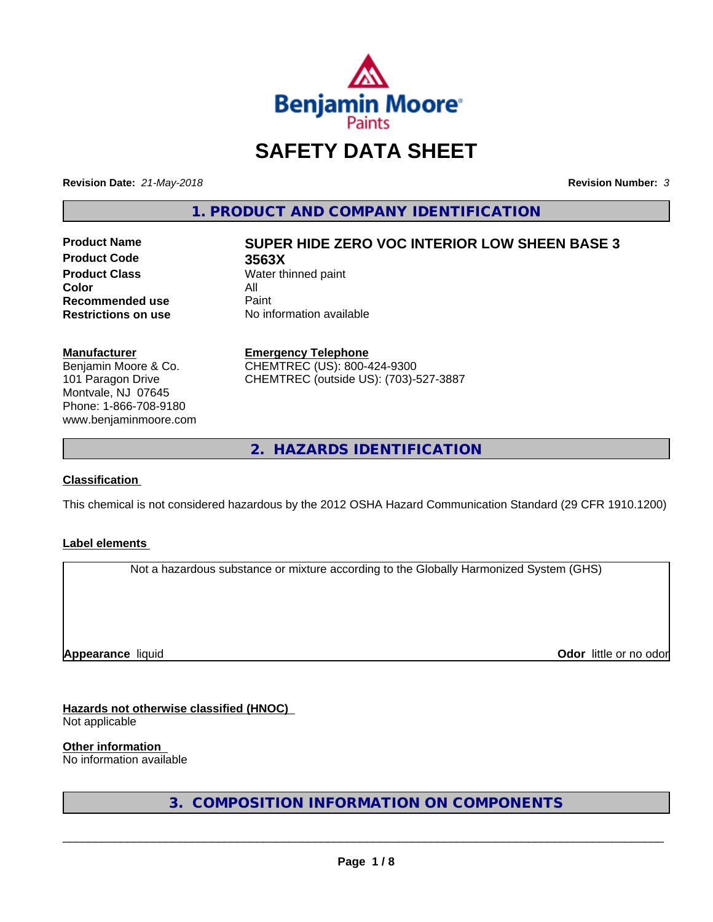

# **SAFETY DATA SHEET**

**Revision Date:** *21-May-2018* **Revision Number:** *3*

**1. PRODUCT AND COMPANY IDENTIFICATION**

**Product Code 3563X Product Class** Water thinned paint<br> **Color Color** All **Recommended use** Paint<br> **Restrictions on use** No inf

# **Product Name SUPER HIDE ZERO VOC INTERIOR LOW SHEEN BASE 3**

**No information available** 

#### **Manufacturer**

Benjamin Moore & Co. 101 Paragon Drive Montvale, NJ 07645 Phone: 1-866-708-9180 www.benjaminmoore.com

### **Emergency Telephone**

CHEMTREC (US): 800-424-9300 CHEMTREC (outside US): (703)-527-3887

**2. HAZARDS IDENTIFICATION**

### **Classification**

This chemical is not considered hazardous by the 2012 OSHA Hazard Communication Standard (29 CFR 1910.1200)

### **Label elements**

Not a hazardous substance or mixture according to the Globally Harmonized System (GHS)

**Appearance** liquid

**Odor** little or no odor

# **Hazards not otherwise classified (HNOC)**

Not applicable

**Other information**

No information available

**3. COMPOSITION INFORMATION ON COMPONENTS**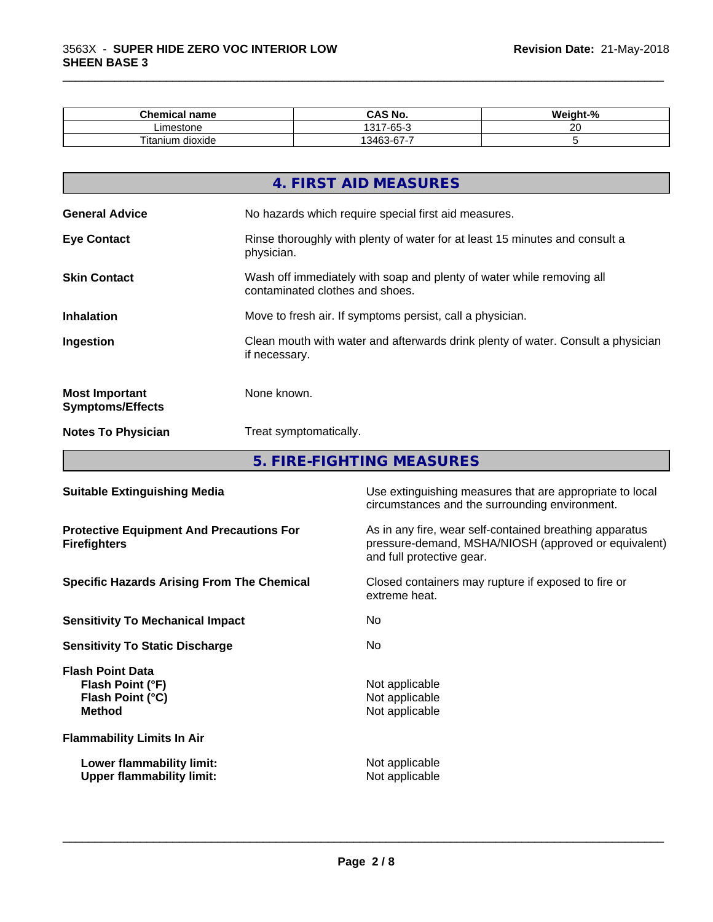| Chemical name                | <b>CASN.</b><br>CAS No.                  | <br>о.<br>velaht<br>70 |
|------------------------------|------------------------------------------|------------------------|
| Limestone                    | $\sim$<br>1311<br>$\sim$<br>$-n$<br>-טט- | $\sim$<br>$\sim$       |
| $\sim$<br>dioxide<br>itanium | $\sim$<br>--<br>3463<br>. n<br>.         |                        |

\_\_\_\_\_\_\_\_\_\_\_\_\_\_\_\_\_\_\_\_\_\_\_\_\_\_\_\_\_\_\_\_\_\_\_\_\_\_\_\_\_\_\_\_\_\_\_\_\_\_\_\_\_\_\_\_\_\_\_\_\_\_\_\_\_\_\_\_\_\_\_\_\_\_\_\_\_\_\_\_\_\_\_\_\_\_\_\_\_\_\_\_\_

|                                                  | 4. FIRST AID MEASURES                                                                                    |
|--------------------------------------------------|----------------------------------------------------------------------------------------------------------|
| <b>General Advice</b>                            | No hazards which require special first aid measures.                                                     |
| <b>Eye Contact</b>                               | Rinse thoroughly with plenty of water for at least 15 minutes and consult a<br>physician.                |
| <b>Skin Contact</b>                              | Wash off immediately with soap and plenty of water while removing all<br>contaminated clothes and shoes. |
| <b>Inhalation</b>                                | Move to fresh air. If symptoms persist, call a physician.                                                |
| Ingestion                                        | Clean mouth with water and afterwards drink plenty of water. Consult a physician<br>if necessary.        |
| <b>Most Important</b><br><b>Symptoms/Effects</b> | None known.                                                                                              |
| <b>Notes To Physician</b>                        | Treat symptomatically.                                                                                   |

**5. FIRE-FIGHTING MEASURES**

| <b>Suitable Extinguishing Media</b>                                              | Use extinguishing measures that are appropriate to local<br>circumstances and the surrounding environment.                                   |
|----------------------------------------------------------------------------------|----------------------------------------------------------------------------------------------------------------------------------------------|
| <b>Protective Equipment And Precautions For</b><br><b>Firefighters</b>           | As in any fire, wear self-contained breathing apparatus<br>pressure-demand, MSHA/NIOSH (approved or equivalent)<br>and full protective gear. |
| <b>Specific Hazards Arising From The Chemical</b>                                | Closed containers may rupture if exposed to fire or<br>extreme heat.                                                                         |
| <b>Sensitivity To Mechanical Impact</b>                                          | No.                                                                                                                                          |
| <b>Sensitivity To Static Discharge</b>                                           | No.                                                                                                                                          |
| <b>Flash Point Data</b><br>Flash Point (°F)<br>Flash Point (°C)<br><b>Method</b> | Not applicable<br>Not applicable<br>Not applicable                                                                                           |
| <b>Flammability Limits In Air</b>                                                |                                                                                                                                              |
| Lower flammability limit:<br><b>Upper flammability limit:</b>                    | Not applicable<br>Not applicable                                                                                                             |
|                                                                                  |                                                                                                                                              |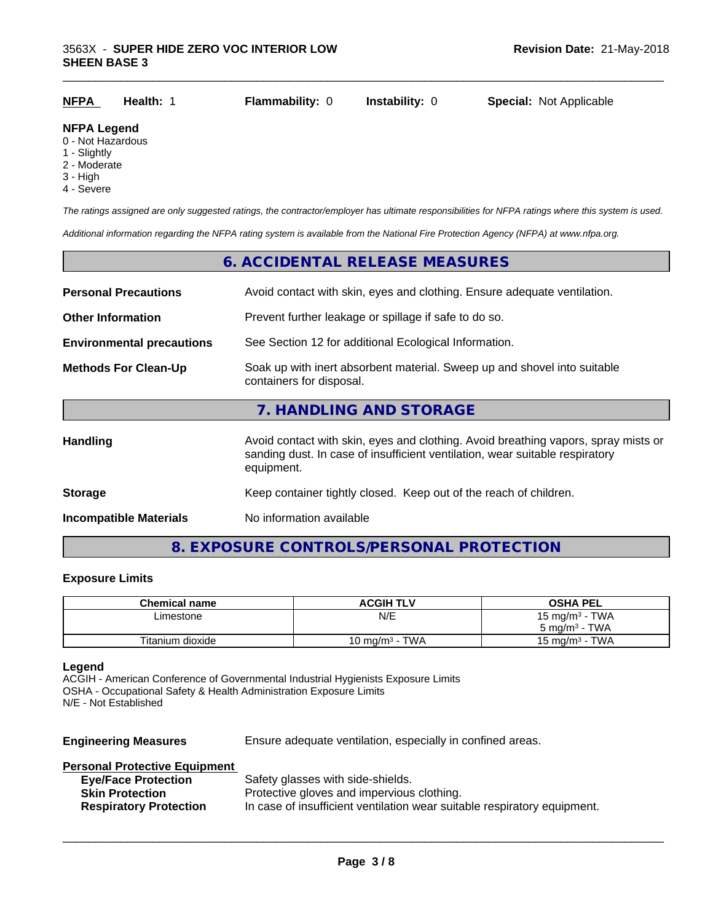#### **NFPA Legend**

- 0 Not Hazardous
- 1 Slightly
- 2 Moderate
- 3 High
- 4 Severe

*The ratings assigned are only suggested ratings, the contractor/employer has ultimate responsibilities for NFPA ratings where this system is used.*

*Additional information regarding the NFPA rating system is available from the National Fire Protection Agency (NFPA) at www.nfpa.org.*

# **6. ACCIDENTAL RELEASE MEASURES**

| <b>Personal Precautions</b>      | Avoid contact with skin, eyes and clothing. Ensure adequate ventilation.                                                                                                         |
|----------------------------------|----------------------------------------------------------------------------------------------------------------------------------------------------------------------------------|
| <b>Other Information</b>         | Prevent further leakage or spillage if safe to do so.                                                                                                                            |
| <b>Environmental precautions</b> | See Section 12 for additional Ecological Information.                                                                                                                            |
| <b>Methods For Clean-Up</b>      | Soak up with inert absorbent material. Sweep up and shovel into suitable<br>containers for disposal.                                                                             |
|                                  | 7. HANDLING AND STORAGE                                                                                                                                                          |
| <b>Handling</b>                  | Avoid contact with skin, eyes and clothing. Avoid breathing vapors, spray mists or<br>sanding dust. In case of insufficient ventilation, wear suitable respiratory<br>equipment. |
| <b>Storage</b>                   | Keep container tightly closed. Keep out of the reach of children.                                                                                                                |
| <b>Incompatible Materials</b>    | No information available                                                                                                                                                         |
|                                  |                                                                                                                                                                                  |

# **8. EXPOSURE CONTROLS/PERSONAL PROTECTION**

#### **Exposure Limits**

| <b>Chemical name</b> | <b>ACGIH TLV</b>  | <b>OSHA PEL</b>            |
|----------------------|-------------------|----------------------------|
| Limestone            | N/E               | 15 mg/m <sup>3</sup> - TWA |
|                      |                   | $5 \text{ ma/m}^3$ - TWA   |
| Titanium dioxide     | 10 mg/m $3$ - TWA | 15 mg/m $3$ - TWA          |

#### **Legend**

ACGIH - American Conference of Governmental Industrial Hygienists Exposure Limits OSHA - Occupational Safety & Health Administration Exposure Limits N/E - Not Established

**Engineering Measures** Ensure adequate ventilation, especially in confined areas.

 $\overline{\phantom{a}}$  ,  $\overline{\phantom{a}}$  ,  $\overline{\phantom{a}}$  ,  $\overline{\phantom{a}}$  ,  $\overline{\phantom{a}}$  ,  $\overline{\phantom{a}}$  ,  $\overline{\phantom{a}}$  ,  $\overline{\phantom{a}}$  ,  $\overline{\phantom{a}}$  ,  $\overline{\phantom{a}}$  ,  $\overline{\phantom{a}}$  ,  $\overline{\phantom{a}}$  ,  $\overline{\phantom{a}}$  ,  $\overline{\phantom{a}}$  ,  $\overline{\phantom{a}}$  ,  $\overline{\phantom{a}}$ 

#### **Personal Protective Equipment**

| <b>Eye/Face Protection</b>    | Safety glasses with side-shields.                                        |
|-------------------------------|--------------------------------------------------------------------------|
| <b>Skin Protection</b>        | Protective gloves and impervious clothing.                               |
| <b>Respiratory Protection</b> | In case of insufficient ventilation wear suitable respiratory equipment. |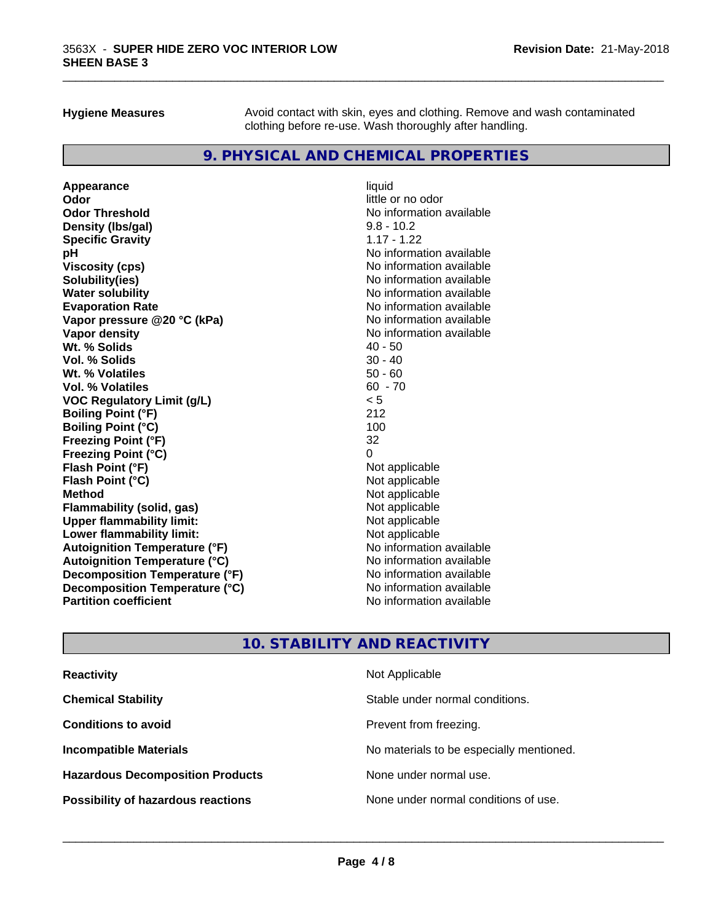**Hygiene Measures** Avoid contact with skin, eyes and clothing. Remove and wash contaminated clothing before re-use. Wash thoroughly after handling.

\_\_\_\_\_\_\_\_\_\_\_\_\_\_\_\_\_\_\_\_\_\_\_\_\_\_\_\_\_\_\_\_\_\_\_\_\_\_\_\_\_\_\_\_\_\_\_\_\_\_\_\_\_\_\_\_\_\_\_\_\_\_\_\_\_\_\_\_\_\_\_\_\_\_\_\_\_\_\_\_\_\_\_\_\_\_\_\_\_\_\_\_\_

# **9. PHYSICAL AND CHEMICAL PROPERTIES**

**Appearance** liquid **Odor** little or no odor **Odor Threshold**<br> **Density (Ibs/gal)**<br> **Density (Ibs/gal)**<br> **Density (Ibs/gal)**<br> **Density (Ibs/gal) Density (lbs/gal)** 9.8 - 10.2<br> **Specific Gravity** 1.17 - 1.22 **Specific Gravity pH**<br>
Viscosity (cps) The Contract of the Contract of the Viscosity (cps) and Viscosity (cps) **Solubility(ies)** No information available **Water solubility Mater Solubility**<br> **Evaporation Rate** Mate No information available **Vapor pressure @20 °C (kPa)** No information available **Vapor density Vapor density No information available Wt. % Solids** 40 - 50 **Vol. % Solids** 30 - 40 **Wt. % Volatiles Vol. % Volatiles** 60 - 70 **VOC Regulatory Limit (g/L)** < 5 **Boiling Point (°F)** 212 **Boiling Point (°C)** 100 **Freezing Point (°F)** 32 **Freezing Point (°C)** 0 **Flash Point (°F)**<br> **Flash Point (°C)**<br> **Flash Point (°C)**<br> **C Flash Point (°C) Method** Not applicable **Flammability (solid, gas)** Not applicable<br> **Upper flammability limit:** Not applicable<br>
Not applicable **Upper flammability limit:**<br> **Lower flammability limit:**<br>
Not applicable<br>
Not applicable **Lower flammability limit:**<br> **Autoianition Temperature (°F)**<br>
Mo information available **Autoignition Temperature (°F)**<br> **Autoignition Temperature (°C)**<br> **Autoignition Temperature (°C)**<br>
Mo information available **Autoignition Temperature (°C) Decomposition Temperature (°F)** No information available **Decomposition Temperature (°C)**<br> **Partition coefficient**<br> **Partition coefficient**<br> **No** information available

**Viscosity (cps)** No information available **Evaporation Rate** No information available **No information available** 

# **10. STABILITY AND REACTIVITY**

| <b>Reactivity</b>                         | Not Applicable                           |
|-------------------------------------------|------------------------------------------|
| <b>Chemical Stability</b>                 | Stable under normal conditions.          |
| <b>Conditions to avoid</b>                | Prevent from freezing.                   |
| <b>Incompatible Materials</b>             | No materials to be especially mentioned. |
| <b>Hazardous Decomposition Products</b>   | None under normal use.                   |
| <b>Possibility of hazardous reactions</b> | None under normal conditions of use.     |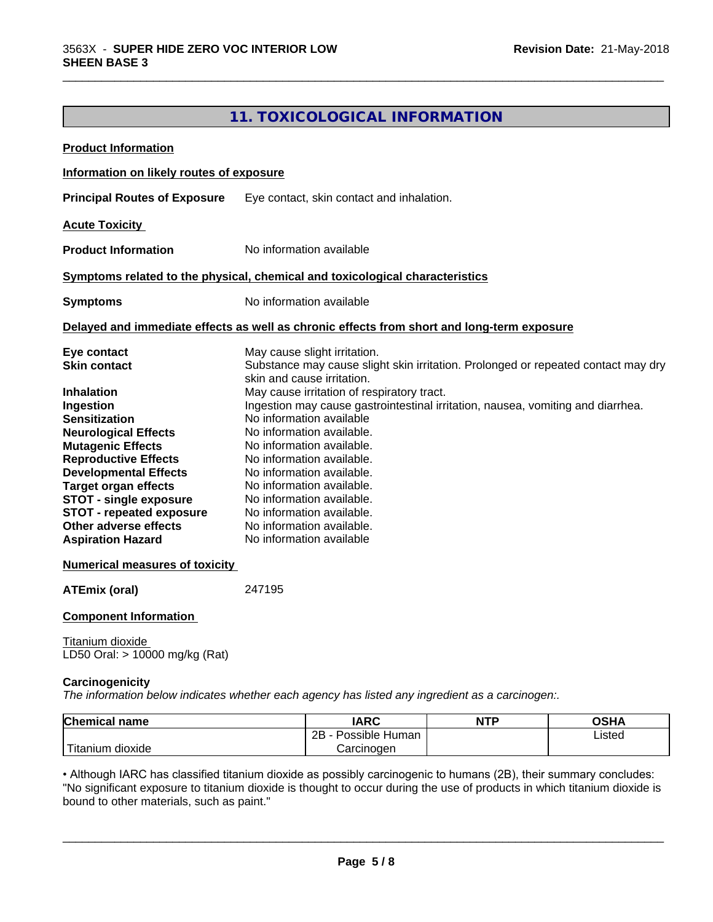# **11. TOXICOLOGICAL INFORMATION**

\_\_\_\_\_\_\_\_\_\_\_\_\_\_\_\_\_\_\_\_\_\_\_\_\_\_\_\_\_\_\_\_\_\_\_\_\_\_\_\_\_\_\_\_\_\_\_\_\_\_\_\_\_\_\_\_\_\_\_\_\_\_\_\_\_\_\_\_\_\_\_\_\_\_\_\_\_\_\_\_\_\_\_\_\_\_\_\_\_\_\_\_\_

| <b>Product Information</b>                                                                                                                                                                                                                                                                                                                                                     |                                                                                                                                                                                                                                                                                                                                                                                                                                                                                                                                                                                  |
|--------------------------------------------------------------------------------------------------------------------------------------------------------------------------------------------------------------------------------------------------------------------------------------------------------------------------------------------------------------------------------|----------------------------------------------------------------------------------------------------------------------------------------------------------------------------------------------------------------------------------------------------------------------------------------------------------------------------------------------------------------------------------------------------------------------------------------------------------------------------------------------------------------------------------------------------------------------------------|
| Information on likely routes of exposure                                                                                                                                                                                                                                                                                                                                       |                                                                                                                                                                                                                                                                                                                                                                                                                                                                                                                                                                                  |
| <b>Principal Routes of Exposure</b>                                                                                                                                                                                                                                                                                                                                            | Eye contact, skin contact and inhalation.                                                                                                                                                                                                                                                                                                                                                                                                                                                                                                                                        |
| <b>Acute Toxicity</b>                                                                                                                                                                                                                                                                                                                                                          |                                                                                                                                                                                                                                                                                                                                                                                                                                                                                                                                                                                  |
| <b>Product Information</b>                                                                                                                                                                                                                                                                                                                                                     | No information available                                                                                                                                                                                                                                                                                                                                                                                                                                                                                                                                                         |
|                                                                                                                                                                                                                                                                                                                                                                                | Symptoms related to the physical, chemical and toxicological characteristics                                                                                                                                                                                                                                                                                                                                                                                                                                                                                                     |
| <b>Symptoms</b>                                                                                                                                                                                                                                                                                                                                                                | No information available                                                                                                                                                                                                                                                                                                                                                                                                                                                                                                                                                         |
|                                                                                                                                                                                                                                                                                                                                                                                | Delayed and immediate effects as well as chronic effects from short and long-term exposure                                                                                                                                                                                                                                                                                                                                                                                                                                                                                       |
| Eye contact<br><b>Skin contact</b><br><b>Inhalation</b><br>Ingestion<br><b>Sensitization</b><br><b>Neurological Effects</b><br><b>Mutagenic Effects</b><br><b>Reproductive Effects</b><br><b>Developmental Effects</b><br><b>Target organ effects</b><br><b>STOT - single exposure</b><br><b>STOT - repeated exposure</b><br>Other adverse effects<br><b>Aspiration Hazard</b> | May cause slight irritation.<br>Substance may cause slight skin irritation. Prolonged or repeated contact may dry<br>skin and cause irritation.<br>May cause irritation of respiratory tract.<br>Ingestion may cause gastrointestinal irritation, nausea, vomiting and diarrhea.<br>No information available<br>No information available.<br>No information available.<br>No information available.<br>No information available.<br>No information available.<br>No information available.<br>No information available.<br>No information available.<br>No information available |
| <b>Numerical measures of toxicity</b>                                                                                                                                                                                                                                                                                                                                          |                                                                                                                                                                                                                                                                                                                                                                                                                                                                                                                                                                                  |
| <b>ATEmix (oral)</b>                                                                                                                                                                                                                                                                                                                                                           | 247195                                                                                                                                                                                                                                                                                                                                                                                                                                                                                                                                                                           |

#### **Component Information**

Titanium dioxide LD50 Oral: > 10000 mg/kg (Rat)

#### **Carcinogenicity**

*The information below indicateswhether each agency has listed any ingredient as a carcinogen:.*

| <b>Chemical name</b>       | <b>IARC</b>          | <b>NTP</b> | OSHA   |
|----------------------------|----------------------|------------|--------|
|                            | 2B<br>Possible Human |            | Listed |
| $'$ Titanium<br>n dioxide. | Carcinoɑen           |            |        |

• Although IARC has classified titanium dioxide as possibly carcinogenic to humans (2B), their summary concludes:<br>"No significant exposure to titanium dioxide is thought to occur during the use of products in which titaniu "No significant exposure to titanium dioxide is thought to occur during the use of products in which titanium dioxide is bound to other materials, such as paint."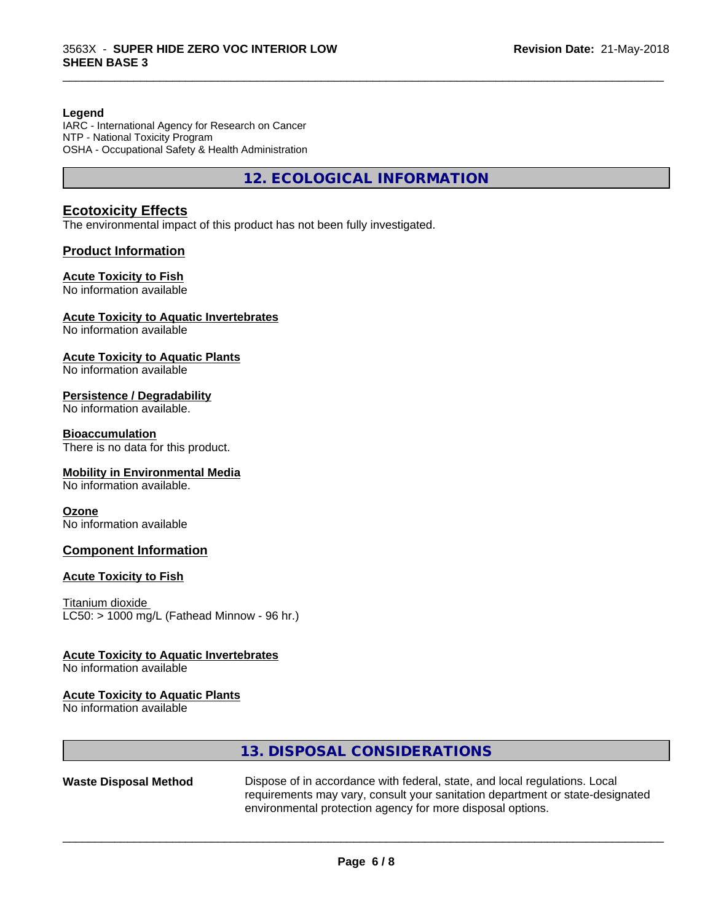#### **Legend**

IARC - International Agency for Research on Cancer NTP - National Toxicity Program OSHA - Occupational Safety & Health Administration

**12. ECOLOGICAL INFORMATION**

\_\_\_\_\_\_\_\_\_\_\_\_\_\_\_\_\_\_\_\_\_\_\_\_\_\_\_\_\_\_\_\_\_\_\_\_\_\_\_\_\_\_\_\_\_\_\_\_\_\_\_\_\_\_\_\_\_\_\_\_\_\_\_\_\_\_\_\_\_\_\_\_\_\_\_\_\_\_\_\_\_\_\_\_\_\_\_\_\_\_\_\_\_

#### **Ecotoxicity Effects**

The environmental impact of this product has not been fully investigated.

#### **Product Information**

#### **Acute Toxicity to Fish**

No information available

#### **Acute Toxicity to Aquatic Invertebrates**

No information available

#### **Acute Toxicity to Aquatic Plants**

No information available

#### **Persistence / Degradability**

No information available.

#### **Bioaccumulation**

There is no data for this product.

#### **Mobility in Environmental Media**

No information available.

#### **Ozone**

No information available

#### **Component Information**

#### **Acute Toxicity to Fish**

Titanium dioxide  $LC50:$  > 1000 mg/L (Fathead Minnow - 96 hr.)

#### **Acute Toxicity to Aquatic Invertebrates**

No information available

#### **Acute Toxicity to Aquatic Plants**

No information available

### **13. DISPOSAL CONSIDERATIONS**

Waste Disposal Method Dispose of in accordance with federal, state, and local regulations. Local requirements may vary, consult your sanitation department or state-designated environmental protection agency for more disposal options.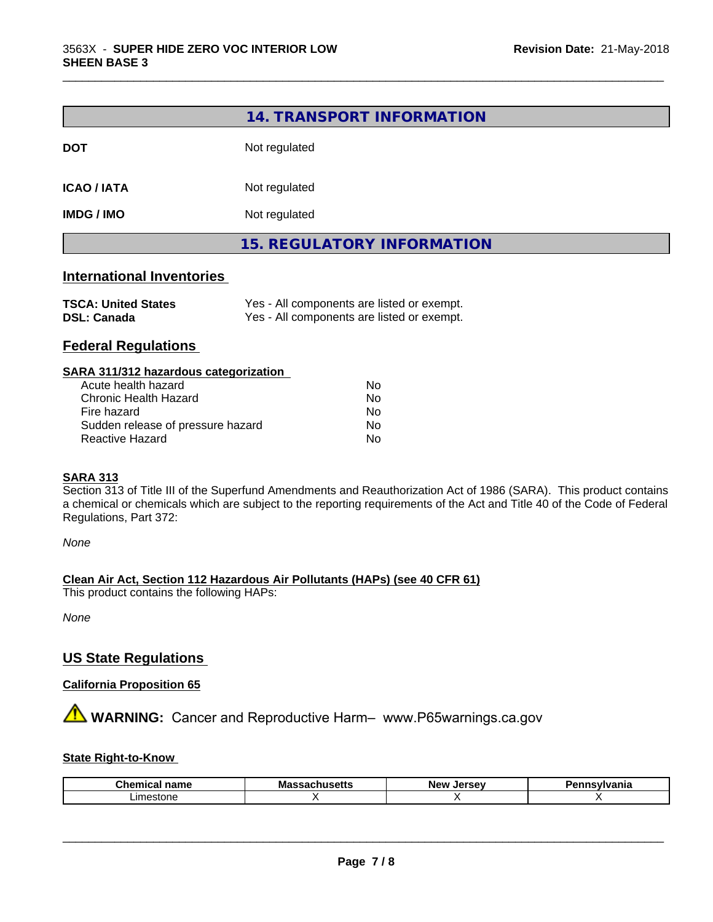|                            | 14. TRANSPORT INFORMATION         |  |
|----------------------------|-----------------------------------|--|
| <b>DOT</b>                 | Not regulated                     |  |
| <b>ICAO / IATA</b>         | Not regulated                     |  |
| <b>IMDG / IMO</b>          | Not regulated                     |  |
|                            | <b>15. REGULATORY INFORMATION</b> |  |
| Internetismal Increptantes |                                   |  |

\_\_\_\_\_\_\_\_\_\_\_\_\_\_\_\_\_\_\_\_\_\_\_\_\_\_\_\_\_\_\_\_\_\_\_\_\_\_\_\_\_\_\_\_\_\_\_\_\_\_\_\_\_\_\_\_\_\_\_\_\_\_\_\_\_\_\_\_\_\_\_\_\_\_\_\_\_\_\_\_\_\_\_\_\_\_\_\_\_\_\_\_\_

#### **International Inventories**

| <b>TSCA: United States</b> | Yes - All components are listed or exempt. |
|----------------------------|--------------------------------------------|
| <b>DSL: Canada</b>         | Yes - All components are listed or exempt. |

## **Federal Regulations**

| SARA 311/312 hazardous categorization |    |  |
|---------------------------------------|----|--|
| Acute health hazard                   | Nο |  |
| Chronic Health Hazard                 | Nο |  |
| Fire hazard                           | No |  |
| Sudden release of pressure hazard     | No |  |
| Reactive Hazard                       | No |  |

#### **SARA 313**

Section 313 of Title III of the Superfund Amendments and Reauthorization Act of 1986 (SARA). This product contains a chemical or chemicals which are subject to the reporting requirements of the Act and Title 40 of the Code of Federal Regulations, Part 372:

*None*

**Clean Air Act,Section 112 Hazardous Air Pollutants (HAPs) (see 40 CFR 61)**

This product contains the following HAPs:

*None*

# **US State Regulations**

### **California Proposition 65**

**AVIMARNING:** Cancer and Reproductive Harm– www.P65warnings.ca.gov

### **State Right-to-Know**

| Chemical | ''            | Jersev     | ınsvlvania |
|----------|---------------|------------|------------|
| ⊺name    | Massachusetts | <b>New</b> |            |
| ∟ımeston |               |            |            |